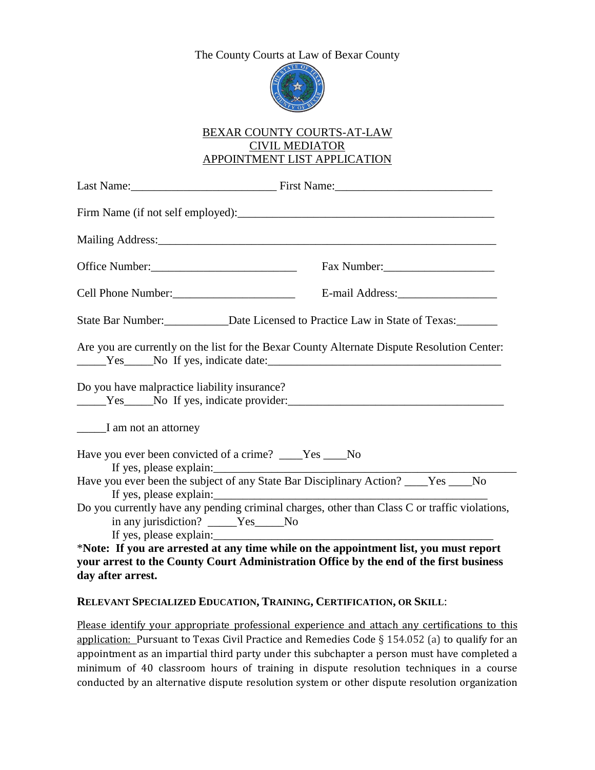# The County Courts at Law of Bexar County



### BEXAR COUNTY COURTS-AT-LAW CIVIL MEDIATOR APPOINTMENT LIST APPLICATION

|                                                                 | State Bar Number:<br><u>Date Licensed to Practice Law in State of Texas:</u>                                                 |
|-----------------------------------------------------------------|------------------------------------------------------------------------------------------------------------------------------|
|                                                                 | Are you are currently on the list for the Bexar County Alternate Dispute Resolution Center:<br>Ves No If yes, indicate date: |
| Do you have malpractice liability insurance?                    | Ves No If yes, indicate provider:                                                                                            |
| I am not an attorney                                            |                                                                                                                              |
|                                                                 | Have you ever been convicted of a crime? ____Yes ___No                                                                       |
|                                                                 | Have you ever been the subject of any State Bar Disciplinary Action? ____Yes ___No<br>If yes, please explain:                |
| in any jurisdiction? _____Yes_____No<br>If yes, please explain: | Do you currently have any pending criminal charges, other than Class C or traffic violations,                                |
|                                                                 | *Note: If you are arrested at any time while on the appointment list, you must report                                        |
|                                                                 | your arrest to the County Court Administration Office by the end of the first business                                       |

# **day after arrest.**

#### **RELEVANT SPECIALIZED EDUCATION, TRAINING, CERTIFICATION, OR SKILL**:

Please identify your appropriate professional experience and attach any certifications to this application: Pursuant to Texas Civil Practice and Remedies Code § 154.052 (a) to qualify for an appointment as an impartial third party under this subchapter a person must have completed a minimum of 40 classroom hours of training in dispute resolution techniques in a course conducted by an alternative dispute resolution system or other dispute resolution organization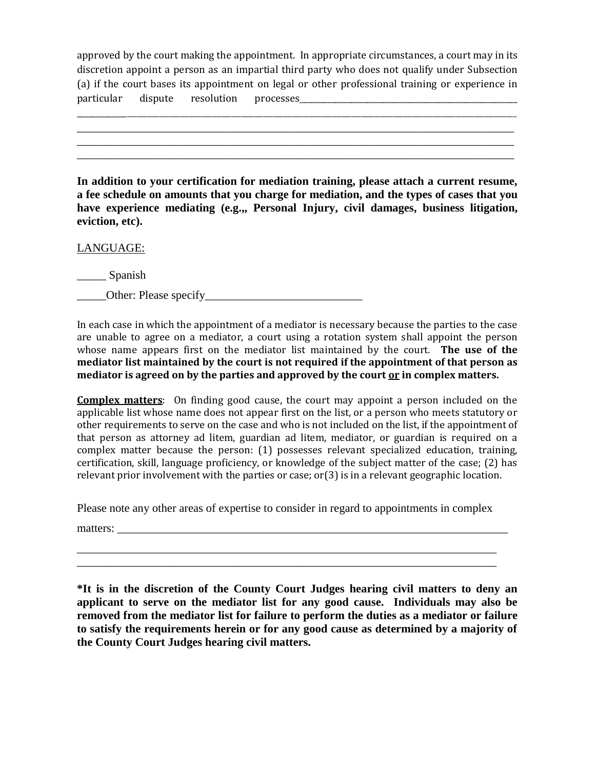approved by the court making the appointment. In appropriate circumstances, a court may in its discretion appoint a person as an impartial third party who does not qualify under Subsection (a) if the court bases its appointment on legal or other professional training or experience in particular dispute resolution processes\_\_\_\_\_\_\_\_\_\_\_\_\_\_\_\_\_\_\_\_\_\_\_\_\_\_\_\_\_\_\_\_\_\_\_\_\_\_\_\_\_\_\_\_\_\_\_\_\_\_\_\_\_\_\_

\_\_\_\_\_\_\_\_\_\_\_\_\_\_\_\_\_\_\_\_\_\_\_\_\_\_\_\_\_\_\_\_\_\_\_\_\_\_\_\_\_\_\_\_\_\_\_\_\_\_\_\_\_\_\_\_\_\_\_\_\_\_\_\_\_\_\_\_\_\_\_\_\_\_\_\_\_\_\_\_\_\_\_\_\_\_\_\_\_\_\_\_\_\_\_\_\_\_\_\_\_\_\_\_\_\_\_\_\_\_\_\_\_\_\_\_\_\_\_\_\_\_\_\_\_\_\_\_\_\_\_\_\_ \_\_\_\_\_\_\_\_\_\_\_\_\_\_\_\_\_\_\_\_\_\_\_\_\_\_\_\_\_\_\_\_\_\_\_\_\_\_\_\_\_\_\_\_\_\_\_\_\_\_\_\_\_\_\_\_\_\_\_\_\_\_\_\_\_\_\_\_\_\_\_\_\_\_\_ \_\_\_\_\_\_\_\_\_\_\_\_\_\_\_\_\_\_\_\_\_\_\_\_\_\_\_\_\_\_\_\_\_\_\_\_\_\_\_\_\_\_\_\_\_\_\_\_\_\_\_\_\_\_\_\_\_\_\_\_\_\_\_\_\_\_\_\_\_\_\_\_\_\_\_ \_\_\_\_\_\_\_\_\_\_\_\_\_\_\_\_\_\_\_\_\_\_\_\_\_\_\_\_\_\_\_\_\_\_\_\_\_\_\_\_\_\_\_\_\_\_\_\_\_\_\_\_\_\_\_\_\_\_\_\_\_\_\_\_\_\_\_\_\_\_\_\_\_\_\_

**In addition to your certification for mediation training, please attach a current resume, a fee schedule on amounts that you charge for mediation, and the types of cases that you have experience mediating (e.g.,, Personal Injury, civil damages, business litigation, eviction, etc).** 

LANGUAGE:

\_\_\_\_\_ Spanish

Other: Please specify

In each case in which the appointment of a mediator is necessary because the parties to the case are unable to agree on a mediator, a court using a rotation system shall appoint the person whose name appears first on the mediator list maintained by the court. **The use of the mediator list maintained by the court is not required if the appointment of that person as mediator is agreed on by the parties and approved by the court or in complex matters.** 

**Complex matters**: On finding good cause, the court may appoint a person included on the applicable list whose name does not appear first on the list, or a person who meets statutory or other requirements to serve on the case and who is not included on the list, if the appointment of that person as attorney ad litem, guardian ad litem, mediator, or guardian is required on a complex matter because the person: (1) possesses relevant specialized education, training, certification, skill, language proficiency, or knowledge of the subject matter of the case; (2) has relevant prior involvement with the parties or case; or(3) is in a relevant geographic location.

Please note any other areas of expertise to consider in regard to appointments in complex

\_\_\_\_\_\_\_\_\_\_\_\_\_\_\_\_\_\_\_\_\_\_\_\_\_\_\_\_\_\_\_\_\_\_\_\_\_\_\_\_\_\_\_\_\_\_\_\_\_\_\_\_\_\_\_\_\_\_\_\_\_\_\_\_\_\_\_\_\_\_\_\_ \_\_\_\_\_\_\_\_\_\_\_\_\_\_\_\_\_\_\_\_\_\_\_\_\_\_\_\_\_\_\_\_\_\_\_\_\_\_\_\_\_\_\_\_\_\_\_\_\_\_\_\_\_\_\_\_\_\_\_\_\_\_\_\_\_\_\_\_\_\_\_\_

matters:

**\*It is in the discretion of the County Court Judges hearing civil matters to deny an applicant to serve on the mediator list for any good cause. Individuals may also be removed from the mediator list for failure to perform the duties as a mediator or failure to satisfy the requirements herein or for any good cause as determined by a majority of the County Court Judges hearing civil matters.**